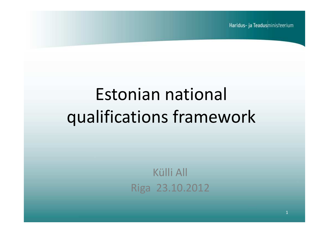Haridus- ja Teadusministeerium

# Estonian national qualifications framework

Külli AllRiga 23.10.2012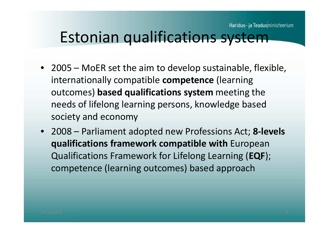#### Estonian qualifications system

- 2005 MoER set the aim to develop sustainable, flexible, internationally compatible **competence** (learning outcomes) **based qualifications system** meeting the needs of lifelong learning persons, knowledge basedsociety and economy
- 2008 Parliament adopted new Professions Act; **8-levels qualifications framework compatible with** European Qualifications Framework for Lifelong Learning (**EQF**); competence (learning outcomes) based approach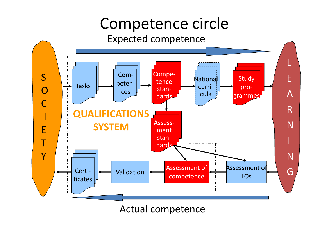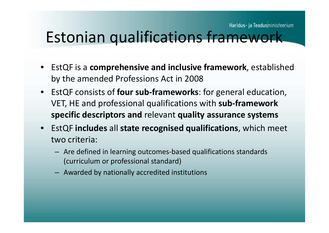#### Estonian qualifications framework

- EstQF is a **comprehensive and inclusive framework**, established by the amended Professions Act in 2008
- EstQF consists of **four sub-frameworks**: for general education, VET, HE and professional qualifications with **sub-framework specific descriptors and** relevant **quality assurance systems**
- EstQF **includes** all **state recognised qualifications**, which meet two criteria:
	- Are defined in learning outcomes-based qualifications standards (curriculum or professional standard)
	- Awarded by nationally accredited institutions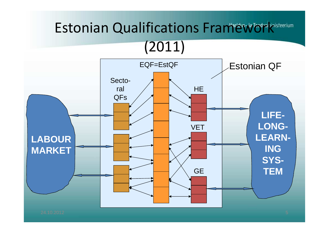### Estonian Qualifications Framework

#### $(2011)$

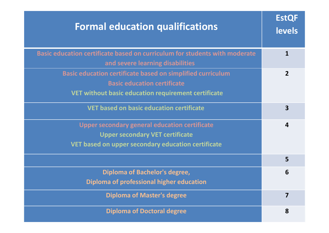| <b>Formal education qualifications</b>                                                                                                                  | <b>EstQF</b><br><b>levels</b> |
|---------------------------------------------------------------------------------------------------------------------------------------------------------|-------------------------------|
| Basic education certificate based on curriculum for students with moderate<br>and severe learning disabilities                                          | 1                             |
| Basic education certificate based on simplified curriculum<br><b>Basic education certificate</b><br>VET without basic education requirement certificate | $\overline{2}$                |
| <b>VET based on basic education certificate</b>                                                                                                         | $\overline{\mathbf{3}}$       |
| <b>Upper secondary general education certificate</b><br><b>Upper secondary VET certificate</b><br>VET based on upper secondary education certificate    | 4                             |
|                                                                                                                                                         | 5                             |
| Diploma of Bachelor's degree,<br>Diploma of professional higher education                                                                               | 6                             |
| <b>Diploma of Master's degree</b>                                                                                                                       | 7                             |
| <b>Diploma of Doctoral degree</b>                                                                                                                       | 8                             |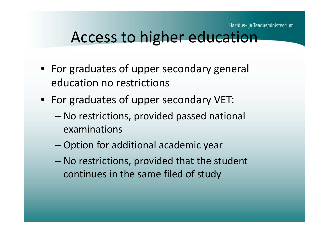#### Access to higher education

- For graduates of upper secondary general education no restrictions
- For graduates of upper secondary VET:
	- – No restrictions, provided passed national examinations
	- – $-$  Option for additional academic year
	- and the state of the state - No restrictions, provided that the student continues in the same filed of study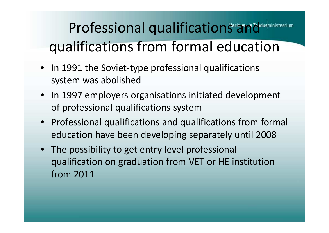## Professional qualifications and dushinisteerium qualifications from formal education

- In 1991 the Soviet-type professional qualifications system was abolished
- In 1997 employers organisations initiated development of professional qualifications system
- Professional qualifications and qualifications from formal education have been developing separately until <sup>2008</sup>
- The possibility to get entry level professional qualification on graduation from VET or HE institution<br>from 2011 from <sup>2011</sup>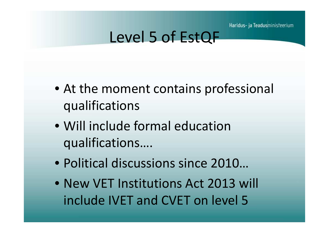Haridus- ja Teadusministeerium

#### Level 5 of EstQF

- At the moment contains professional qualifications
- Will include formal education qualifications….
- Political discussions since 2010…
- New VET Institutions Act 2013 will include IVET and CVET on level 5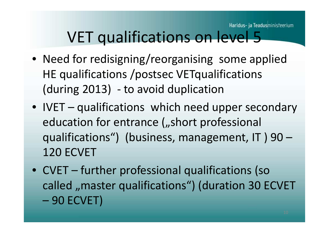#### VET qualifications on level 5

- Need for redisigning/reorganising some applied HE qualifications /postsec VETqualifications (during 2013) - to avoid duplication
- IVET qualifications which need upper secondary education for entrance ("short professional qualifications") (business, management, IT ) 90 –120 ECVET
- CVET further professional qualifications (so called "master qualifications") (duration 30 ECVET 90 ECVET)